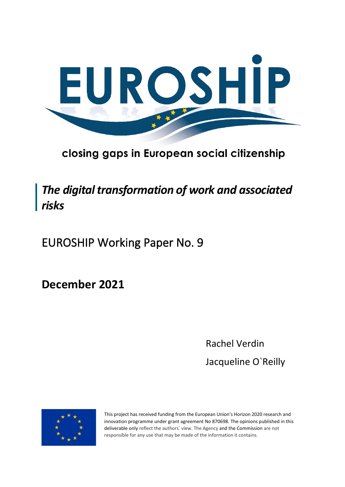

closing gaps in European social citizenship

# *The digital transformation of work and associated risks*

EUROSHIP Working Paper No. 9

**December 2021** 

Rachel Verdin Jacqueline O`Reilly



This project has received funding from the European Union's Horizon 2020 research and innovation programme under grant agreement No 870698. The opinions published in this deliverable only reflect the authors` view. The Agency and the Commission are not responsible for any use that may be made of the information it contains.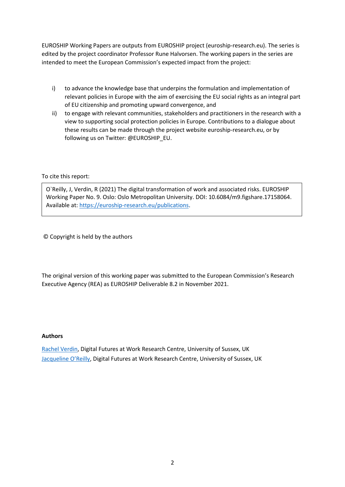EUROSHIP Working Papers are outputs from EUROSHIP project (euroship-research.eu). The series is edited by the project coordinator Professor Rune Halvorsen. The working papers in the series are intended to meet the European Commission's expected impact from the project:

- i) to advance the knowledge base that underpins the formulation and implementation of relevant policies in Europe with the aim of exercising the EU social rights as an integral part of EU citizenship and promoting upward convergence, and
- ii) to engage with relevant communities, stakeholders and practitioners in the research with a view to supporting social protection policies in Europe. Contributions to a dialogue about these results can be made through the project website euroship-research.eu, or by following us on Twitter: @EUROSHIP\_EU.

To cite this report:

O`Reilly, J, Verdin, R (2021) The digital transformation of work and associated risks. EUROSHIP Working Paper No. 9. Oslo: Oslo Metropolitan University. DOI: 10.6084/m9.figshare.17158064. Available at:<https://euroship-research.eu/publications>.

© Copyright is held by the authors

The original version of this working paper was submitted to the European Commission's Research Executive Agency (REA) as EUROSHIP Deliverable 8.2 in November 2021.

#### **Authors**

[Rachel Verdin,](mailto:r.f.m.lyons@sussex.ac.uk) Digital Futures at Work Research Centre, University of Sussex, UK [Jacqueline](mailto:j.o-reilly@sussex.ac.uk) O'Reilly, Digital Futures at Work Research Centre, University of Sussex, UK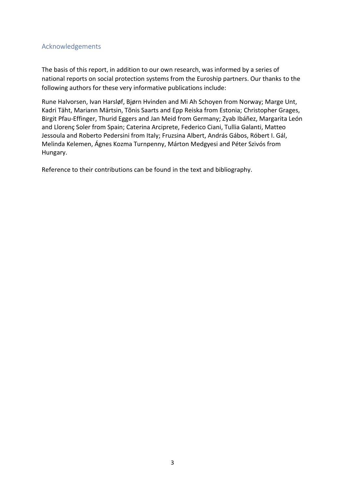## <span id="page-2-0"></span>Acknowledgements

The basis of this report, in addition to our own research, was informed by a series of national reports on social protection systems from the Euroship partners. Our thanks to the following authors for these very informative publications include:

Rune Halvorsen, Ivan Harsløf, Bjørn Hvinden and Mi Ah Schoyen from Norway; Marge Unt, Kadri Täht, Mariann Märtsin, Tõnis Saarts and Epp Reiska from Estonia; Christopher Grages, Birgit Pfau-Effinger, Thurid Eggers and Jan Meid from Germany; Zyab Ibáñez, Margarita León and Llorenç Soler from Spain; Caterina Arciprete, Federico Ciani, Tullia Galanti, Matteo Jessoula and Roberto Pedersini from Italy; Fruzsina Albert, András Gábos, Róbert I. Gál, Melinda Kelemen, Ágnes Kozma Turnpenny, Márton Medgyesi and Péter Szivós from Hungary.

Reference to their contributions can be found in the text and bibliography.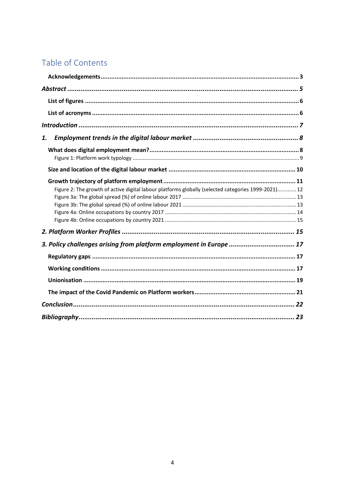## Table of Contents

| 1. |                                                                                                     |  |
|----|-----------------------------------------------------------------------------------------------------|--|
|    |                                                                                                     |  |
|    |                                                                                                     |  |
|    |                                                                                                     |  |
|    | Figure 2: The growth of active digital labour platforms globally (selected categories 1999-2021) 12 |  |
|    |                                                                                                     |  |
|    | 3. Policy challenges arising from platform employment in Europe  17                                 |  |
|    |                                                                                                     |  |
|    |                                                                                                     |  |
|    |                                                                                                     |  |
|    |                                                                                                     |  |
|    |                                                                                                     |  |
|    |                                                                                                     |  |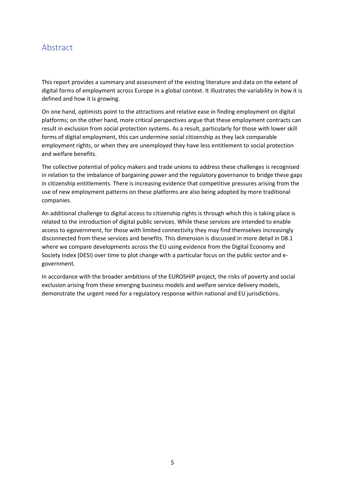## <span id="page-4-0"></span>Abstract

This report provides a summary and assessment of the existing literature and data on the extent of digital forms of employment across Europe in a global context. It illustrates the variability in how it is defined and how it is growing.

On one hand, optimists point to the attractions and relative ease in finding employment on digital platforms; on the other hand, more critical perspectives argue that these employment contracts can result in exclusion from social protection systems. As a result, particularly for those with lower skill forms of digital employment, this can undermine social citizenship as they lack comparable employment rights, or when they are unemployed they have less entitlement to social protection and welfare benefits.

The collective potential of policy makers and trade unions to address these challenges is recognised in relation to the imbalance of bargaining power and the regulatory governance to bridge these gaps in citizenship entitlements. There is increasing evidence that competitive pressures arising from the use of new employment patterns on these platforms are also being adopted by more traditional companies.

An additional challenge to digital access to citizenship rights is through which this is taking place is related to the introduction of digital public services. While these services are intended to enable access to egovernment, for those with limited connectivity they may find themselves increasingly disconnected from these services and benefits. This dimension is discussed in more detail in D8.1 where we compare developments across the EU using evidence from the Digital Economy and Society Index (DESI) over time to plot change with a particular focus on the public sector and egovernment.

In accordance with the broader ambitions of the EUROSHIP project, the risks of poverty and social exclusion arising from these emerging business models and welfare service delivery models, demonstrate the urgent need for a regulatory response within national and EU jurisdictions.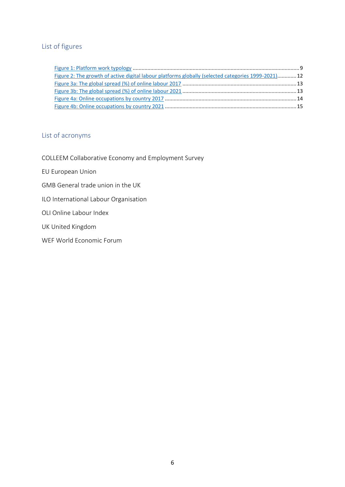## <span id="page-5-0"></span>List of figures

| Figure 2: The growth of active digital labour platforms globally (selected categories 1999-2021)12 |  |
|----------------------------------------------------------------------------------------------------|--|
|                                                                                                    |  |
|                                                                                                    |  |
|                                                                                                    |  |
|                                                                                                    |  |

## <span id="page-5-1"></span>List of acronyms

COLLEEM Collaborative Economy and Employment Survey

- EU European Union
- GMB General trade union in the UK
- ILO International Labour Organisation
- OLI Online Labour Index
- UK United Kingdom
- WEF World Economic Forum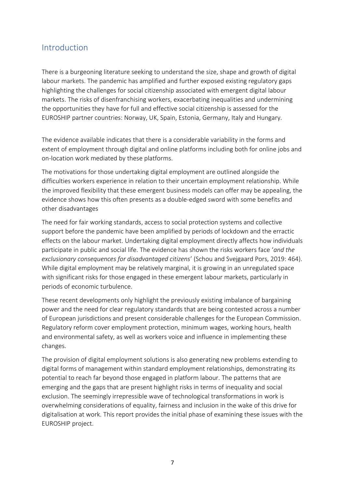## <span id="page-6-0"></span>Introduction

There is a burgeoning literature seeking to understand the size, shape and growth of digital labour markets. The pandemic has amplified and further exposed existing regulatory gaps highlighting the challenges for social citizenship associated with emergent digital labour markets. The risks of disenfranchising workers, exacerbating inequalities and undermining the opportunities they have for full and effective social citizenship is assessed for the EUROSHIP partner countries: Norway, UK, Spain, Estonia, Germany, Italy and Hungary.

The evidence available indicates that there is a considerable variability in the forms and extent of employment through digital and online platforms including both for online jobs and on-location work mediated by these platforms.

The motivations for those undertaking digital employment are outlined alongside the difficulties workers experience in relation to their uncertain employment relationship. While the improved flexibility that these emergent business models can offer may be appealing, the evidence shows how this often presents as a double-edged sword with some benefits and other disadvantages

The need for fair working standards, access to social protection systems and collective support before the pandemic have been amplified by periods of lockdown and the erractic effects on the labour market. Undertaking digital employment directly affects how individuals participate in public and social life. The evidence has shown the risks workers face '*and the exclusionary consequences for disadvantaged citizens*' (Schou and Svejgaard Pors, 2019: 464). While digital employment may be relatively marginal, it is growing in an unregulated space with significant risks for those engaged in these emergent labour markets, particularly in periods of economic turbulence.

These recent developments only highlight the previously existing imbalance of bargaining power and the need for clear regulatory standards that are being contested across a number of European jurisdictions and present considerable challenges for the European Commission. Regulatory reform cover employment protection, minimum wages, working hours, health and environmental safety, as well as workers voice and influence in implementing these changes.

The provision of digital employment solutions is also generating new problems extending to digital forms of management within standard employment relationships, demonstrating its potential to reach far beyond those engaged in platform labour. The patterns that are emerging and the gaps that are present highlight risks in terms of inequality and social exclusion. The seemingly irrepressible wave of technological transformations in work is overwhelming considerations of equality, fairness and inclusion in the wake of this drive for digitalisation at work. This report provides the initial phase of examining these issues with the EUROSHIP project.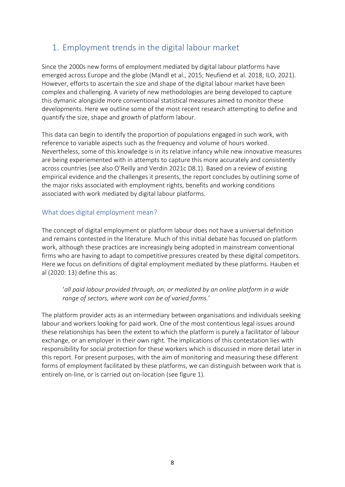## <span id="page-7-0"></span>1. Employment trends in the digital labour market

Since the 2000s new forms of employment mediated by digital labour platforms have emerged across Europe and the globe (Mandl et al., 2015; Neufiend et al. 2018; ILO, 2021). However, efforts to ascertain the size and shape of the digital labour market have been complex and challenging. A variety of new methodologies are being developed to capture this dymanic alongside more conventional statistical measures aimed to monitor these developments. Here we outline some of the most recent research attempting to define and quantify the size, shape and growth of platform labour.

This data can begin to identify the proportion of populations engaged in such work, with reference to variable aspects such as the frequency and volume of hours worked. Nevertheless, some of this knowledge is in its relative infancy while new innovative measures are being experiemented with in attempts to capture this more accurately and consistently across countries (see also O'Reilly and Verdin 2021c D8.1). Based on a review of existing empirical evidence and the challenges it presents, the report concludes by outlining some of the major risks associated with employment rights, benefits and working conditions associated with work mediated by digital labour platforms.

## <span id="page-7-1"></span>What does digital employment mean?

The concept of digital employment or platform labour does not have a universal definition and remains contested in the literature. Much of this initial debate has focused on platform work, although these practices are increasingly being adopted in mainstream conventional firms who are having to adapt to competitive pressures created by these digital competitors. Here we focus on definitions of digital employment mediated by these platforms. Hauben et al (2020: 13) define this as:

'*all paid labour provided through, on, or mediated by an online platform in a wide range of sectors, where work can be of varied forms.*'

The platform provider acts as an intermediary between organisations and individuals seeking labour and workers looking for paid work. One of the most contentious legal issues around these relationships has been the extent to which the platform is purely a facilitator of labour exchange, or an employer in their own right. The implications of this contestation lies with responsibility for social protection for these workers which is discussed in more detail later in this report. For present purposes, with the aim of monitoring and measuring these different forms of employment facilitated by these platforms, we can distinguish between work that is entirely on-line, or is carried out on-location (see figure 1).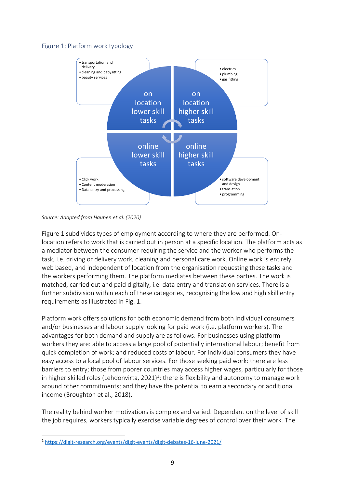### <span id="page-8-0"></span>Figure 1: Platform work typology



*Source: Adapted from Hauben et al. (2020)*

Figure 1 subdivides types of employment according to where they are performed. Onlocation refers to work that is carried out in person at a specific location. The platform acts as a mediator between the consumer requiring the service and the worker who performs the task, i.e. driving or delivery work, cleaning and personal care work. Online work is entirely web based, and independent of location from the organisation requesting these tasks and the workers performing them. The platform mediates between these parties. The work is matched, carried out and paid digitally, i.e. data entry and translation services. There is a further subdivision within each of these categories, recognising the low and high skill entry requirements as illustrated in Fig. 1.

Platform work offers solutions for both economic demand from both individual consumers and/or businesses and labour supply looking for paid work (i.e. platform workers). The advantages for both demand and supply are as follows. For businesses using platform workers they are: able to access a large pool of potentially international labour; benefit from quick completion of work; and reduced costs of labour. For individual consumers they have easy access to a local pool of labour services. For those seeking paid work: there are less barriers to entry; those from poorer countries may access higher wages, particularly for those in higher skilled roles (Lehdonvirta, 2021)<sup>1</sup>; there is flexibility and autonomy to manage work around other commitments; and they have the potential to earn a secondary or additional income (Broughton et al., 2018).

The reality behind worker motivations is complex and varied. Dependant on the level of skill the job requires, workers typically exercise variable degrees of control over their work. The

<sup>1</sup> <https://digit-research.org/events/digit-events/digit-debates-16-june-2021/>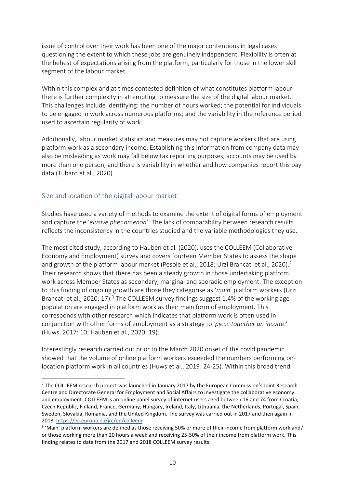issue of control over their work has been one of the major contentions in legal cases questioning the extent to which these jobs are genuinely independent. Flexibility is often at the behest of expectations arising from the platform, particularly for those in the lower skill segment of the labour market.

Within this complex and at times contested definition of what constitutes platform labour there is further complexity in attempting to measure the size of the digital labour market. This challenges include identifying: the number of hours worked; the potential for individuals to be engaged in work across numerous platforms; and the variability in the reference period used to ascertain regularity of work.

Additionally, labour market statistics and measures may not capture workers that are using platform work as a secondary income. Establishing this information from company data may also be misleading as work may fall below tax reporting purposes, accounts may be used by more than one person, and there is variability in whether and how companies report this pay data (Tubaro et al., 2020).

### <span id="page-9-0"></span>Size and location of the digital labour market

Studies have used a variety of methods to examine the extent of digital forms of employment and capture the '*elusive phenomenon*'. The lack of comparability between research results reflects the inconsistency in the countries studied and the variable methodologies they use.

The most cited study, according to Hauben et al. (2020), uses the COLLEEM (Collaborative Economy and Employment) survey and covers fourteen Member States to assess the shape and growth of the platform labour market (Pesole et al., 2018; Urzi Brancati et al., 2020).<sup>2</sup> Their research shows that there has been a steady growth in those undertaking platform work across Member States as secondary, marginal and sporadic employment. The exception to this finding of ongoing growth are those they categorise as '*main*' platform workers (Urzi Brancati et al., 2020: 17).<sup>3</sup> The COLLEEM survey findings suggest 1.4% of the working age population are engaged in platform work as their main form of employment. This corresponds with other research which indicates that platform work is often used in conjunction with other forms of employment as a strategy to *'piece together an income'* (Huws, 2017: 10; Hauben et al., 2020: 19).

Interestingly research carried out prior to the March 2020 onset of the covid pandemic showed that the volume of online platform workers exceeded the numbers performing onlocation platform work in all countries (Huws et al., 2019: 24-25). Within this broad trend

<sup>&</sup>lt;sup>2</sup> The COLLEEM research project was launched in January 2017 by the European Commission's Joint Research Centre and Directorate General for Employment and Social Affairs to investigate the collaborative economy and employment. COLLEEM is an online panel survey of internet users aged between 16 and 74 from Croatia, Czech Republic, Finland, France, Germany, Hungary, Ireland, Italy, Lithuania, the Netherlands, Portugal, Spain, Sweden, Slovakia, Romania, and the United Kingdom. The survey was carried out in 2017 and then again in 2018. <https://ec.europa.eu/jrc/en/colleem>

<sup>&</sup>lt;sup>3</sup> 'Main' platform workers are defined as those receiving 50% or more of their income from platform work and/ or those working more than 20 hours a week and receiving 25-50% of their income from platform work. This finding relates to data from the 2017 and 2018 COLLEEM survey results.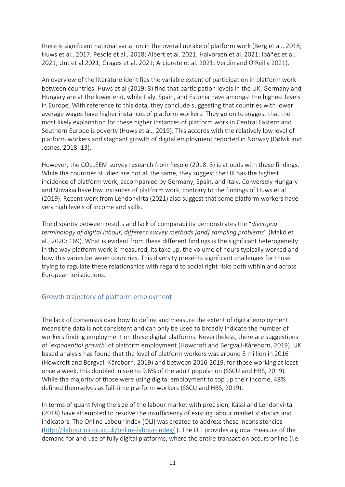there is significant national variation in the overall uptake of platform work (Berg et al., 2018; Huws et al., 2017; Pesole et al., 2018; Albert et al. 2021; Halvorsen et al. 2021; Ibáñez et al. 2021; Unt et al.2021; Grages et al. 2021; Arciprete et al. 2021; Verdin and O'Reilly 2021).

An overview of the literature identifies the variable extent of participation in platform work between countries. Huws et al (2019: 3) find that participation levels in the UK, Germany and Hungary are at the lower end, while Italy, Spain, and Estonia have amongst the highest levels in Europe. With reference to this data, they conclude suggesting that countries with lower average wages have higher instances of platform workers. They go on to suggest that the most likely explanation for these higher instances of platform work in Central Eastern and Southern Europe is poverty (Huws et al., 2019). This accords with the relatively low level of platform workers and stagnant growth of digital employment reported in Norway (Dølvik and Jesnes, 2018: 13).

However, the COLLEEM survey research from Pesole (2018: 3) is at odds with these findings. While the countries studied are not all the same, they suggest the UK has the highest incidence of platform work, accompanied by Germany, Spain, and Italy. Conversely Hungary and Slovakia have low instances of platform work, contrary to the findings of Huws et al (2019). Recent work from Lehdonvirta (2021) also suggest that some platform workers have very high levels of income and skills.

The disparity between results and lack of comparability demonstrates the "*diverging terminology of digital labour, different survey methods [and] sampling problems*" (Makó et al., 2020: 169). What is evident from these different findings is the significant heterogeneity in the way platform work is measured, its take up, the volume of hours typically worked and how this varies between countries. This diversity presents significant challenges for those trying to regulate these relationships with regard to social right risks both within and across European jurisdictions.

## <span id="page-10-0"></span>Growth trajectory of platform employment

The lack of consensus over how to define and measure the extent of digital employment means the data is not consistent and can only be used to broadly indicate the number of workers finding employment on these digital platforms. Nevertheless, there are suggestions of '*exponential growth'* of platform employment (Howcroft and Bergvall-Kåreborn, 2019). UK based analysis has found that the level of platform workers was around 5 million in 2016 (Howcroft and Bergvall-Kåreborn, 2019) and between 2016-2019, for those working at least once a week, this doubled in size to 9.6% of the adult population (SSCU and HBS, 2019). While the majority of those were using digital employment to top up their income, 48% defined themselves as full-time platform workers (SSCU and HBS, 2019).

In terms of quantifying the size of the labour market with precision, Kässi and Lehdonvirta (2018) have attempted to resolve the insufficiency of existing labour market statistics and indicators. The Online Labour Index (OLI) was created to address these inconsistencies [\(http://ilabour.oii.ox.ac.uk/online-labour-index/](http://ilabour.oii.ox.ac.uk/online-labour-index/) ). The OLI provides a global measure of the demand for and use of fully digital platforms, where the entire transaction occurs online (i.e.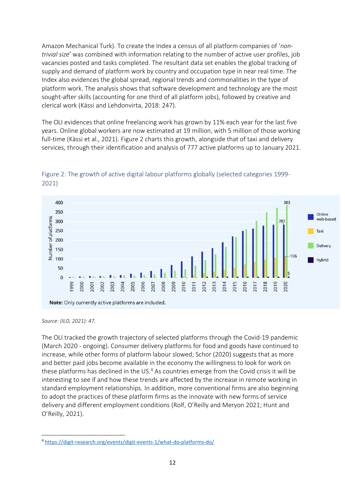Amazon Mechanical Turk). To create the Index a census of all platform companies of '*nontrivial size*' was combined with information relating to the number of active user profiles, job vacancies posted and tasks completed. The resultant data set enables the global tracking of supply and demand of platform work by country and occupation type in near real time. The Index also evidences the global spread, regional trends and commonalities in the type of platform work. The analysis shows that software development and technology are the most sought-after skills (accounting for one third of all platform jobs), followed by creative and clerical work (Kässi and Lehdonvirta, 2018: 247).

The OLI evidences that online freelancing work has grown by 11% each year for the last five years. Online global workers are now estimated at 19 million, with 5 million of those working full-time (Kässi et al., 2021). Figure 2 charts this growth, alongside that of taxi and delivery services, through their identification and analysis of 777 active platforms up to January 2021.



<span id="page-11-0"></span>Figure 2: The growth of active digital labour platforms globally (selected categories 1999- 2021)

#### *Source: (ILO, 2021): 47.*

The OLI tracked the growth trajectory of selected platforms through the Covid-19 pandemic (March 2020 - ongoing). Consumer delivery platforms for food and goods have continued to increase, while other forms of platform labour slowed; Schor (2020) suggests that as more and better paid jobs become available in the economy the willingness to look for work on these platforms has declined in the US.<sup>4</sup> As countries emerge from the Covid crisis it will be interesting to see if and how these trends are affected by the increase in remote working in standard employment relationships. In addition, more conventional firms are also beginning to adopt the practices of these platform firms as the innovate with new forms of service delivery and different employment conditions (Rolf, O'Reilly and Meryon 2021; Hunt and O'Reilly, 2021).

<sup>4</sup> <https://digit-research.org/events/digit-events-1/what-do-platforms-do/>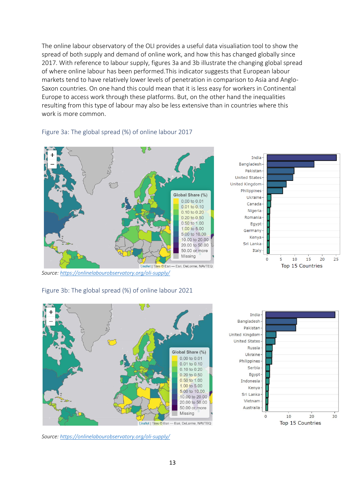The online labour observatory of the OLI provides a useful data visualiation tool to show the spread of both supply and demand of online work, and how this has changed globally since 2017. With reference to labour supply, figures 3a and 3b illustrate the changing global spread of where online labour has been performed.This indicator suggests that European labour markets tend to have relatively lower levels of penetration in comparison to Asia and Anglo-Saxon countries. On one hand this could mean that it is less easy for workers in Continental Europe to access work through these platforms. But, on the other hand the inequalities resulting from this type of labour may also be less extensive than in countries where this work is more common.

### <span id="page-12-0"></span>Figure 3a: The global spread (%) of online labour 2017



*Source[: https://onlinelabourobservatory.org/oli-supply/](https://onlinelabourobservatory.org/oli-supply/)*



<span id="page-12-1"></span>Figure 3b: The global spread (%) of online labour 2021

*Source[: https://onlinelabourobservatory.org/oli-supply/](https://onlinelabourobservatory.org/oli-supply/)*

 $20$ 

 $30$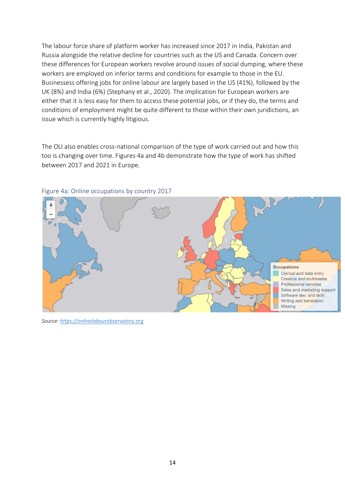The labour force share of platform worker has increased since 2017 in India, Pakistan and Russia alongside the relative decline for countries such as the US and Canada. Concern over these differences for European workers revolve around issues of social dumping, where these workers are employed on inferior terms and conditions for example to those in the EU. Businessess offering jobs for online labour are largely based in the US (41%), followed by the UK (8%) and India (6%) (Stephany et al., 2020). The implication for European workers are either that it is less easy for them to access these potential jobs, or if they do, the terms and conditions of employment might be quite different to those within their own juridictions, an issue which is currently highly litigious.

The OLI also enables cross-national comparison of the type of work carried out and how this too is changing over time. Figures 4a and 4b demonstrate how the type of work has shifted between 2017 and 2021 in Europe.



#### <span id="page-13-0"></span>Figure 4a: Online occupations by country 2017

*Source: [https://onlinelabourobservatory.org](https://onlinelabourobservatory.org/)*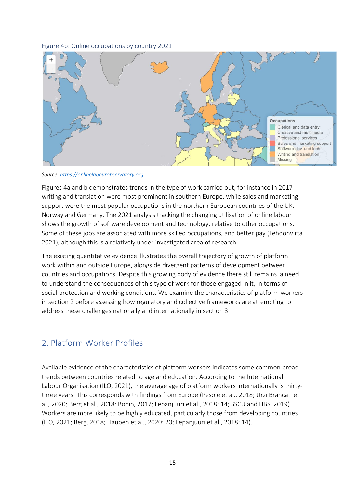### <span id="page-14-0"></span>Figure 4b: Online occupations by country 2021



*Source[: https://onlinelabourobservatory.org](https://onlinelabourobservatory.org/)*

Figures 4a and b demonstrates trends in the type of work carried out, for instance in 2017 writing and translation were most prominent in southern Europe, while sales and marketing support were the most popular occupations in the northern European countries of the UK, Norway and Germany. The 2021 analysis tracking the changing utilisation of online labour shows the growth of software development and technology, relative to other occupations. Some of these jobs are associated with more skilled occupations, and better pay (Lehdonvirta 2021), although this is a relatively under investigated area of research.

The existing quantitative evidence illustrates the overall trajectory of growth of platform work within and outside Europe, alongside divergent patterns of development between countries and occupations. Despite this growing body of evidence there still remains a need to understand the consequences of this type of work for those engaged in it, in terms of social protection and working conditions. We examine the characteristics of platform workers in section 2 before assessing how regulatory and collective frameworks are attempting to address these challenges nationally and internationally in section 3.

## <span id="page-14-1"></span>2. Platform Worker Profiles

Available evidence of the characteristics of platform workers indicates some common broad trends between countries related to age and education. According to the International Labour Organisation (ILO, 2021), the average age of platform workers internationally is thirtythree years. This corresponds with findings from Europe (Pesole et al., 2018; Urzi Brancati et al., 2020; Berg et al., 2018; Bonin, 2017; Lepanjuuri et al., 2018: 14; SSCU and HBS, 2019). Workers are more likely to be highly educated, particularly those from developing countries (ILO, 2021; Berg, 2018; Hauben et al., 2020: 20; Lepanjuuri et al., 2018: 14).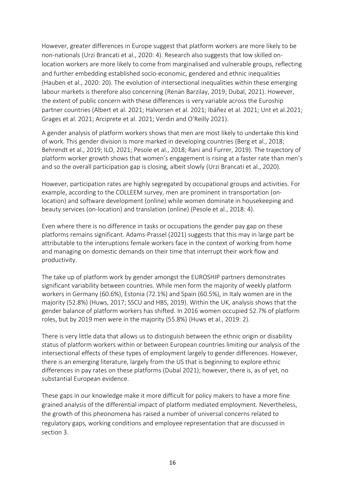However, greater differences in Europe suggest that platform workers are more likely to be non-nationals (Urzi Brancati et al., 2020: 4). Research also suggests that low skilled onlocation workers are more likely to come from marginalised and vulnerable groups, reflecting and further embedding established socio-economic, gendered and ethnic inequalities (Hauben et al., 2020: 20). The evolution of intersectional inequalities within these emerging labour markets is therefore also concerning (Renan Barzilay, 2019; Dubal, 2021). However, the extent of public concern with these differences is very variable across the Euroship partner countries (Albert et al. 2021; Halvorsen et al. 2021; Ibáñez et al. 2021; Unt et al.2021; Grages et al. 2021; Arciprete et al. 2021; Verdin and O'Reilly 2021).

A gender analysis of platform workers shows that men are most likely to undertake this kind of work. This gender division is more marked in developing countries (Berg et al., 2018; Behrendt et al., 2019; ILO, 2021; Pesole et al., 2018; Rani and Furrer, 2019). The trajectory of platform worker growth shows that women's engagement is rising at a faster rate than men's and so the overall participation gap is closing, albeit slowly (Urzi Brancati et al., 2020).

However, participation rates are highly segregated by occupational groups and activities. For example, according to the COLLEEM survey, men are prominent in transportation (onlocation) and software development (online) while women dominate in housekeeping and beauty services (on-location) and translation (online) (Pesole et al., 2018: 4).

Even where there is no difference in tasks or occupations the gender pay gap on these platforms remains significant. Adams-Prassel (2021) suggests that this may in large part be attributable to the interuptions female workers face in the context of working from home and managing on domestic demands on their time that interrupt their work flow and productivity.

The take up of platform work by gender amongst the EUROSHIP partners demonstrates significant variability between countries. While men form the majority of weekly platform workers in Germany (60.6%), Estonia (72.1%) and Spain (60.5%), in Italy women are in the majority (52.8%) (Huws, 2017; SSCU and HBS, 2019). Within the UK, analysis shows that the gender balance of platform workers has shifted. In 2016 women occupied 52.7% of platform roles, but by 2019 men were in the majority (55.8%) (Huws et al., 2019: 2).

There is very little data that allows us to distinguish between the ethnic origin or disability status of platform workers within or between European countries limiting our analysis of the intersectional effects of these types of employment largely to gender differences. However, there is an emerging literature, largely from the US that is beginning to explore ethnic differences in pay rates on these platforms (Dubal 2021); however, there is, as of yet, no substantial European evidence.

These gaps in our knowledge make it more difficult for policy makers to have a more fine grained analysis of the differential impact of platform mediated employment. Nevertheless, the growth of this pheonomena has raised a number of universal concerns related to regulatory gaps, working conditions and employee representation that are discussed in section 3.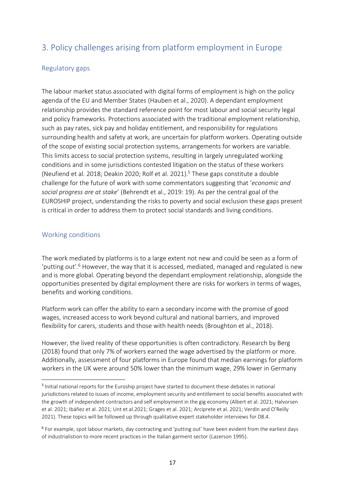## <span id="page-16-0"></span>3. Policy challenges arising from platform employment in Europe

## <span id="page-16-1"></span>Regulatory gaps

The labour market status associated with digital forms of employment is high on the policy agenda of the EU and Member States (Hauben et al., 2020). A dependant employment relationship provides the standard reference point for most labour and social security legal and policy frameworks. Protections associated with the traditional employment relationship, such as pay rates, sick pay and holiday entitlement, and responsibility for regulations surrounding health and safety at work, are uncertain for platform workers. Operating outside of the scope of existing social protection systems, arrangements for workers are variable. This limits access to social protection systems, resulting in largely unregulated working conditions and in some jurisdictions contested litigation on the status of these workers (Neufiend et al. 2018; Deakin 2020; Rolf et al. 2021). <sup>5</sup> These gaps constitute a double challenge for the future of work with some commentators suggesting that '*economic and social progress are at stake*' (Behrendt et al., 2019: 19). As per the central goal of the EUROSHIP project, understanding the risks to poverty and social exclusion these gaps present is critical in order to address them to protect social standards and living conditions.

## <span id="page-16-2"></span>Working conditions

The work mediated by platforms is to a large extent not new and could be seen as a form of 'putting out'.<sup>6</sup> However, the way that it is accessed, mediated, managed and regulated is new and is more global. Operating beyond the dependant employment relationship, alongside the opportunities presented by digital employment there are risks for workers in terms of wages, benefits and working conditions.

Platform work can offer the ability to earn a secondary income with the promise of good wages, increased access to work beyond cultural and national barriers, and improved flexibility for carers, students and those with health needs (Broughton et al., 2018).

However, the lived reality of these opportunities is often contradictory. Research by Berg (2018) found that only 7% of workers earned the wage advertised by the platform or more. Additionally, assessment of four platforms in Europe found that median earnings for platform workers in the UK were around 50% lower than the minimum wage, 29% lower in Germany

<sup>&</sup>lt;sup>5</sup> Initial national reports for the Euroship project have started to document these debates in national jurisdictions related to issues of income, employment security and entitlement to social benefits associated with the growth of independent contractors and self employment in the gig economy (Albert et al. 2021; Halvorsen et al. 2021; Ibáñez et al. 2021; Unt et al.2021; Grages et al. 2021; Arciprete et al. 2021; Verdin and O'Reilly 2021). These topics will be followed up through qualitative expert stakeholder interviews for D8.4.

<sup>6</sup> For example, spot labour markets, day contracting and 'putting out' have been evident from the earliest days of industrialistion to more recent practices in the Italian garment sector (Lazerson 1995).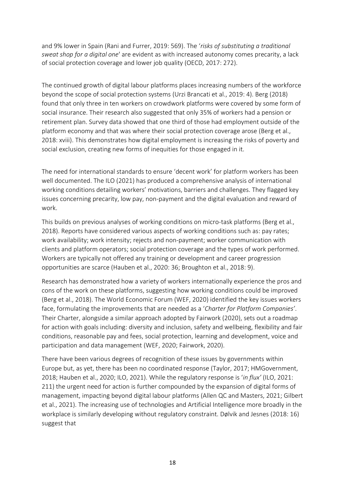and 9% lower in Spain (Rani and Furrer, 2019: 569). The '*risks of substituting a traditional sweat shop for a digital one*' are evident as with increased autonomy comes precarity, a lack of social protection coverage and lower job quality (OECD, 2017: 272).

The continued growth of digital labour platforms places increasing numbers of the workforce beyond the scope of social protection systems (Urzi Brancati et al., 2019: 4). Berg (2018) found that only three in ten workers on crowdwork platforms were covered by some form of social insurance. Their research also suggested that only 35% of workers had a pension or retirement plan. Survey data showed that one third of those had employment outside of the platform economy and that was where their social protection coverage arose (Berg et al., 2018: xviii). This demonstrates how digital employment is increasing the risks of poverty and social exclusion, creating new forms of inequities for those engaged in it.

The need for international standards to ensure 'decent work' for platform workers has been well documented. The ILO (2021) has produced a comprehensive analysis of international working conditions detailing workers' motivations, barriers and challenges. They flagged key issues concerning precarity, low pay, non-payment and the digital evaluation and reward of work.

This builds on previous analyses of working conditions on micro-task platforms (Berg et al., 2018). Reports have considered various aspects of working conditions such as: pay rates; work availability; work intensity; rejects and non-payment; worker communication with clients and platform operators; social protection coverage and the types of work performed. Workers are typically not offered any training or development and career progression opportunities are scarce (Hauben et al., 2020: 36; Broughton et al., 2018: 9).

Research has demonstrated how a variety of workers internationally experience the pros and cons of the work on these platforms, suggesting how working conditions could be improved (Berg et al., 2018). The World Economic Forum (WEF, 2020) identified the key issues workers face, formulating the improvements that are needed as a '*Charter for Platform Companies'*. Their Charter, alongside a similar approach adopted by Fairwork (2020), sets out a roadmap for action with goals including: diversity and inclusion, safety and wellbeing, flexibility and fair conditions, reasonable pay and fees, social protection, learning and development, voice and participation and data management (WEF, 2020; Fairwork, 2020).

There have been various degrees of recognition of these issues by governments within Europe but, as yet, there has been no coordinated response (Taylor, 2017; HMGovernment, 2018; Hauben et al., 2020; ILO, 2021). While the regulatory response is '*in flux'* (ILO, 2021: 211) the urgent need for action is further compounded by the expansion of digital forms of management, impacting beyond digital labour platforms (Allen QC and Masters, 2021; Gilbert et al., 2021). The increasing use of technologies and Artificial Intelligence more broadly in the workplace is similarly developing without regulatory constraint. Dølvik and Jesnes (2018: 16) suggest that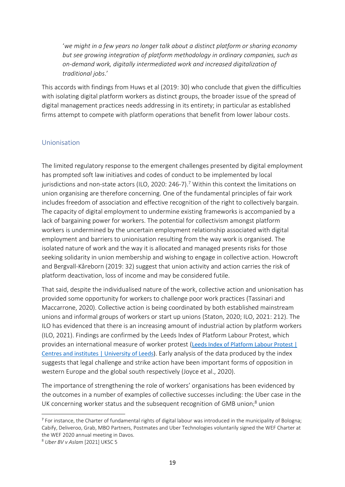'*we might in a few years no longer talk about a distinct platform or sharing economy but see growing integration of platform methodology in ordinary companies, such as on-demand work, digitally intermediated work and increased digitalization of traditional jobs*.'

This accords with findings from Huws et al (2019: 30) who conclude that given the difficulties with isolating digital platform workers as distinct groups, the broader issue of the spread of digital management practices needs addressing in its entirety; in particular as established firms attempt to compete with platform operations that benefit from lower labour costs.

### <span id="page-18-0"></span>Unionisation

The limited regulatory response to the emergent challenges presented by digital employment has prompted soft law initiatives and codes of conduct to be implemented by local jurisdictions and non-state actors (ILO, 2020: 246-7).<sup>7</sup> Within this context the limitations on union organising are therefore concerning. One of the fundamental principles of fair work includes freedom of association and effective recognition of the right to collectively bargain. The capacity of digital employment to undermine existing frameworks is accompanied by a lack of bargaining power for workers. The potential for collectivism amongst platform workers is undermined by the uncertain employment relationship associated with digital employment and barriers to unionisation resulting from the way work is organised. The isolated nature of work and the way it is allocated and managed presents risks for those seeking solidarity in union membership and wishing to engage in collective action. Howcroft and Bergvall-Kåreborn (2019: 32) suggest that union activity and action carries the risk of platform deactivation, loss of income and may be considered futile.

That said, despite the individualised nature of the work, collective action and unionisation has provided some opportunity for workers to challenge poor work practices (Tassinari and Maccarrone, 2020). Collective action is being coordinated by both established mainstream unions and informal groups of workers or start up unions (Staton, 2020; ILO, 2021: 212). The ILO has evidenced that there is an increasing amount of industrial action by platform workers (ILO, 2021). Findings are confirmed by the Leeds Index of Platform Labour Protest, which provides an international measure of worker protest (Leeds Index of Platform Labour Protest | [Centres and institutes | University of Leeds\)](https://business.leeds.ac.uk/research-ceric/dir-record/research-projects/1721/leeds-index-of-platform-labour-protest). Early analysis of the data produced by the index suggests that legal challenge and strike action have been important forms of opposition in western Europe and the global south respectively (Joyce et al., 2020).

The importance of strengthening the role of workers' organisations has been evidenced by the outcomes in a number of examples of collective successes including: the Uber case in the UK concerning worker status and the subsequent recognition of GMB union;<sup>8</sup> union

<sup>&</sup>lt;sup>7</sup> For instance, the Charter of fundamental rights of digital labour was introduced in the municipality of Bologna; Cabify, Deliveroo, Grab, MBO Partners, Postmates and Uber Technologies voluntarily signed the WEF Charter at the WEF 2020 annual meeting in Davos.

<sup>8</sup> *Uber BV v Aslam* [2021] UKSC 5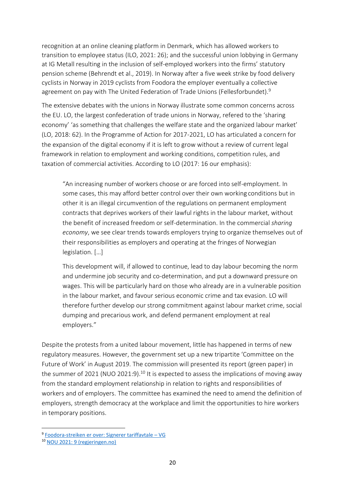recognition at an online cleaning platform in Denmark, which has allowed workers to transition to employee status (ILO, 2021: 26); and the successful union lobbying in Germany at IG Metall resulting in the inclusion of self-employed workers into the firms' statutory pension scheme (Behrendt et al., 2019). In Norway after a five week strike by food delivery cyclists in Norway in 2019 cyclists from Foodora the employer eventually a collective agreement on pay with The United Federation of Trade Unions (Fellesforbundet).<sup>9</sup>

The extensive debates with the unions in Norway illustrate some common concerns across the EU. LO, the largest confederation of trade unions in Norway, refered to the 'sharing economy' 'as something that challenges the welfare state and the organized labour market' (LO, 2018: 62). In the Programme of Action for 2017-2021, LO has articulated a concern for the expansion of the digital economy if it is left to grow without a review of current legal framework in relation to employment and working conditions, competition rules, and taxation of commercial activities. According to LO (2017: 16 our emphasis):

"An increasing number of workers choose or are forced into self-employment. In some cases, this may afford better control over their own working conditions but in other it is an illegal circumvention of the regulations on permanent employment contracts that deprives workers of their lawful rights in the labour market, without the benefit of increased freedom or self-determination. In the commercial *sharing economy*, we see clear trends towards employers trying to organize themselves out of their responsibilities as employers and operating at the fringes of Norwegian legislation. […]

This development will, if allowed to continue, lead to day labour becoming the norm and undermine job security and co-determination, and put a downward pressure on wages. This will be particularly hard on those who already are in a vulnerable position in the labour market, and favour serious economic crime and tax evasion. LO will therefore further develop our strong commitment against labour market crime, social dumping and precarious work, and defend permanent employment at real employers."

Despite the protests from a united labour movement, little has happened in terms of new regulatory measures. However, the government set up a new tripartite 'Committee on the Future of Work' in August 2019. The commission will presented its report (green paper) in the summer of 2021 (NUO 2021:9).<sup>10</sup> It is expected to assess the implications of moving away from the standard employment relationship in relation to rights and responsibilities of workers and of employers. The committee has examined the need to amend the definition of employers, strength democracy at the workplace and limit the opportunities to hire workers in temporary positions.

<sup>9</sup> [Foodora-streiken er over: Signerer tariffavtale](https://www.vg.no/nyheter/i/wPXWq1/foodora-streiken-er-over-signerer-tariffavtale) – VG

<sup>10</sup> [NOU 2021: 9 \(regjeringen.no\)](https://www.regjeringen.no/contentassets/3d0a31c22f1446b1a414cc767ff8f74b/nou202120210009000dddpdfs.pdf)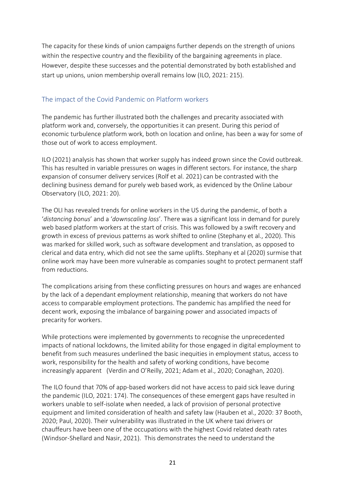The capacity for these kinds of union campaigns further depends on the strength of unions within the respective country and the flexibility of the bargaining agreements in place. However, despite these successes and the potential demonstrated by both established and start up unions, union membership overall remains low (ILO, 2021: 215).

## <span id="page-20-0"></span>The impact of the Covid Pandemic on Platform workers

The pandemic has further illustrated both the challenges and precarity associated with platform work and, conversely, the opportunities it can present. During this period of economic turbulence platform work, both on location and online, has been a way for some of those out of work to access employment.

ILO (2021) analysis has shown that worker supply has indeed grown since the Covid outbreak. This has resulted in variable pressures on wages in different sectors. For instance, the sharp expansion of consumer delivery services (Rolf et al. 2021) can be contrasted with the declining business demand for purely web based work, as evidenced by the Online Labour Observatory (ILO, 2021: 20).

The OLI has revealed trends for online workers in the US during the pandemic, of both a '*distancing bonus*' and a '*downscaling loss*'. There was a significant loss in demand for purely web based platform workers at the start of crisis. This was followed by a swift recovery and growth in excess of previous patterns as work shifted to online (Stephany et al., 2020). This was marked for skilled work, such as software development and translation, as opposed to clerical and data entry, which did not see the same uplifts. Stephany et al (2020) surmise that online work may have been more vulnerable as companies sought to protect permanent staff from reductions.

The complications arising from these conflicting pressures on hours and wages are enhanced by the lack of a dependant employment relationship, meaning that workers do not have access to comparable employment protections. The pandemic has amplified the need for decent work, exposing the imbalance of bargaining power and associated impacts of precarity for workers.

While protections were implemented by governments to recognise the unprecedented impacts of national lockdowns, the limited ability for those engaged in digital employment to benefit from such measures underlined the basic inequities in employment status, access to work, responsibility for the health and safety of working conditions, have become increasingly apparent (Verdin and O'Reilly, 2021; Adam et al., 2020; Conaghan, 2020).

The ILO found that 70% of app-based workers did not have access to paid sick leave during the pandemic (ILO, 2021: 174). The consequences of these emergent gaps have resulted in workers unable to self-isolate when needed, a lack of provision of personal protective equipment and limited consideration of health and safety law (Hauben et al., 2020: 37 Booth, 2020; Paul, 2020). Their vulnerability was illustrated in the UK where taxi drivers or chauffeurs have been one of the occupations with the highest Covid related death rates (Windsor-Shellard and Nasir, 2021). This demonstrates the need to understand the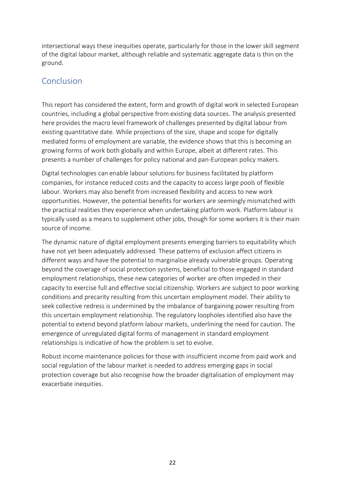intersectional ways these inequities operate, particularly for those in the lower skill segment of the digital labour market, although reliable and systematic aggregate data is thin on the ground.

## <span id="page-21-0"></span>Conclusion

This report has considered the extent, form and growth of digital work in selected European countries, including a global perspective from existing data sources. The analysis presented here provides the macro level framework of challenges presented by digital labour from existing quantitative date. While projections of the size, shape and scope for digitally mediated forms of employment are variable, the evidence shows that this is becoming an growing forms of work both globally and within Europe, albeit at different rates. This presents a number of challenges for policy national and pan-European policy makers.

Digital technologies can enable labour solutions for business facilitated by platform companies, for instance reduced costs and the capacity to access large pools of flexible labour. Workers may also benefit from increased flexibility and access to new work opportunities. However, the potential benefits for workers are seemingly mismatched with the practical realities they experience when undertaking platform work. Platform labour is typically used as a means to supplement other jobs, though for some workers it is their main source of income.

The dynamic nature of digital employment presents emerging barriers to equitability which have not yet been adequately addressed. These patterns of exclusion affect citizens in different ways and have the potential to marginalise already vulnerable groups. Operating beyond the coverage of social protection systems, beneficial to those engaged in standard employment relationships, these new categories of worker are often impeded in their capacity to exercise full and effective social citizenship. Workers are subject to poor working conditions and precarity resulting from this uncertain employment model. Their ability to seek collective redress is undermined by the imbalance of bargaining power resulting from this uncertain employment relationship. The regulatory loopholes identified also have the potential to extend beyond platform labour markets, underlining the need for caution. The emergence of unregulated digital forms of management in standard employment relationships is indicative of how the problem is set to evolve.

Robust income maintenance policies for those with insufficient income from paid work and social regulation of the labour market is needed to address emerging gaps in social protection coverage but also recognise how the broader digitalisation of employment may exacerbate inequities.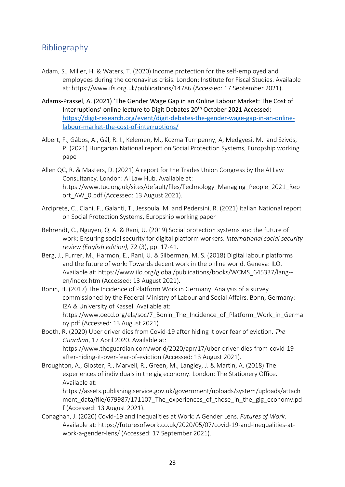## <span id="page-22-0"></span>Bibliography

- Adam, S., Miller, H. & Waters, T. (2020) Income protection for the self-employed and employees during the coronavirus crisis. London: Institute for Fiscal Studies. Available at:<https://www.ifs.org.uk/publications/14786> (Accessed: 17 September 2021).
- Adams-Prassel, A. (2021) 'The Gender Wage Gap in an Online Labour Market: The Cost of Interruptions' online lecture to Digit Debates 20th October 2021 Accessed: [https://digit-research.org/event/digit-debates-the-gender-wage-gap-in-an-online](https://digit-research.org/event/digit-debates-the-gender-wage-gap-in-an-online-labour-market-the-cost-of-interruptions/)[labour-market-the-cost-of-interruptions/](https://digit-research.org/event/digit-debates-the-gender-wage-gap-in-an-online-labour-market-the-cost-of-interruptions/)
- Albert, F., Gábos, A., Gál, R. I., Kelemen, M., Kozma Turnpenny, A, Medgyesi, M. and Szivós, P. (2021) Hungarian National report on Social Protection Systems, Europship working pape
- Allen QC, R. & Masters, D. (2021) A report for the Trades Union Congress by the AI Law Consultancy. London: AI Law Hub. Available at: [https://www.tuc.org.uk/sites/default/files/Technology\\_Managing\\_People\\_2021\\_Rep](https://www.tuc.org.uk/sites/default/files/Technology_Managing_People_2021_Report_AW_0.pdf) ort AW 0.pdf (Accessed: 13 August 2021).
- Arciprete, C., Ciani, F., Galanti, T., Jessoula, M. and Pedersini, R. (2021) Italian National report on Social Protection Systems, Europship working paper
- Behrendt, C., Nguyen, Q. A. & Rani, U. (2019) Social protection systems and the future of work: Ensuring social security for digital platform workers. *International social security review (English edition),* 72 (3), pp. 17-41.
- Berg, J., Furrer, M., Harmon, E., Rani, U. & Silberman, M. S. (2018) Digital labour platforms and the future of work: Towards decent work in the online world. Geneva: ILO. Available at: https://www.ilo.org/global/publications/books/WCMS\_645337/lang- en/index.htm (Accessed: 13 August 2021).
- Bonin, H. (2017) The Incidence of Platform Work in Germany: Analysis of a survey commissioned by the Federal Ministry of Labour and Social Affairs. Bonn, Germany: IZA & University of Kassel. Available at: https://www.oecd.org/els/soc/7 Bonin The Incidence of Platform Work in Germa ny.pdf (Accessed: 13 August 2021).
- Booth, R. (2020) Uber driver dies from Covid-19 after hiding it over fear of eviction. *The Guardian*, 17 April 2020. Available at: [https://www.theguardian.com/world/2020/apr/17/uber-driver-dies-from-covid-19](https://www.theguardian.com/world/2020/apr/17/uber-driver-dies-from-covid-19-after-hiding-it-over-fear-of-eviction) [after-hiding-it-over-fear-of-eviction](https://www.theguardian.com/world/2020/apr/17/uber-driver-dies-from-covid-19-after-hiding-it-over-fear-of-eviction) (Accessed: 13 August 2021).
- Broughton, A., Gloster, R., Marvell, R., Green, M., Langley, J. & Martin, A. (2018) The experiences of individuals in the gig economy. London: The Stationery Office. Available at:

[https://assets.publishing.service.gov.uk/government/uploads/system/uploads/attach](https://assets.publishing.service.gov.uk/government/uploads/system/uploads/attachment_data/file/679987/171107_The_experiences_of_those_in_the_gig_economy.pdf) ment data/file/679987/171107 The experiences of those in the gig economy.pd [f](https://assets.publishing.service.gov.uk/government/uploads/system/uploads/attachment_data/file/679987/171107_The_experiences_of_those_in_the_gig_economy.pdf) (Accessed: 13 August 2021).

Conaghan, J. (2020) Covid-19 and Inequalities at Work: A Gender Lens. *Futures of Work*. Available at: [https://futuresofwork.co.uk/2020/05/07/covid-19-and-inequalities-at](https://futuresofwork.co.uk/2020/05/07/covid-19-and-inequalities-at-work-a-gender-lens/)[work-a-gender-lens/](https://futuresofwork.co.uk/2020/05/07/covid-19-and-inequalities-at-work-a-gender-lens/) (Accessed: 17 September 2021).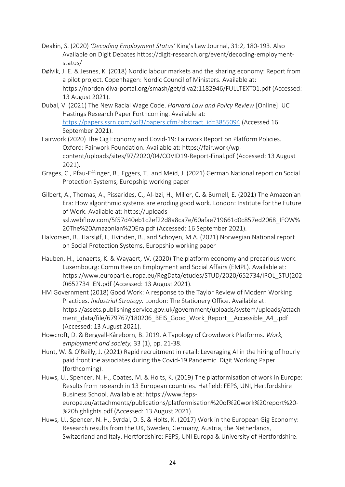- Deakin, S. (2020) *'[Decoding Employment Status](https://www.tandfonline.com/doi/full/10.1080/09615768.2020.1789432)'* King's Law Journal, 31:2, 180-193. Also Available on Digit Debates https://digit-research.org/event/decoding-employmentstatus/
- Dølvik, J. E. & Jesnes, K. (2018) Nordic labour markets and the sharing economy: Report from a pilot project. Copenhagen: Nordic Council of Ministers. Available at: <https://norden.diva-portal.org/smash/get/diva2:1182946/FULLTEXT01.pdf> (Accessed: 13 August 2021).
- Dubal, V. (2021) The New Racial Wage Code. *Harvard Law and Policy Review* [Online]. UC Hastings Research Paper Forthcoming. Available at: [https://papers.ssrn.com/sol3/papers.cfm?abstract\\_id=3855094](https://papers.ssrn.com/sol3/papers.cfm?abstract_id=3855094) (Accessed 16 September 2021).
- Fairwork (2020) The Gig Economy and Covid-19: Fairwork Report on Platform Policies. Oxford: Fairwork Foundation. Available at: [https://fair.work/wp](https://fair.work/wp-content/uploads/sites/97/2020/04/COVID19-Report-Final.pdf)[content/uploads/sites/97/2020/04/COVID19-Report-Final.pdf](https://fair.work/wp-content/uploads/sites/97/2020/04/COVID19-Report-Final.pdf) (Accessed: 13 August 2021).
- Grages, C., Pfau-Effinger, B., Eggers, T. and Meid, J. (2021) German National report on Social Protection Systems, Europship working paper
- Gilbert, A., Thomas, A., Pissarides, C., Al-Izzi, H., Miller, C. & Burnell, E. (2021) The Amazonian Era: How algorithmic systems are eroding good work. London: Institute for the Future of Work. Available at: [https://uploads-](https://uploads-ssl.webflow.com/5f57d40eb1c2ef22d8a8ca7e/60afae719661d0c857ed2068_IFOW%20The%20Amazonian%20Era.pdf)

[ssl.webflow.com/5f57d40eb1c2ef22d8a8ca7e/60afae719661d0c857ed2068\\_IFOW%](https://uploads-ssl.webflow.com/5f57d40eb1c2ef22d8a8ca7e/60afae719661d0c857ed2068_IFOW%20The%20Amazonian%20Era.pdf) [20The%20Amazonian%20Era.pdf](https://uploads-ssl.webflow.com/5f57d40eb1c2ef22d8a8ca7e/60afae719661d0c857ed2068_IFOW%20The%20Amazonian%20Era.pdf) (Accessed: 16 September 2021).

- Halvorsen, R., Harsløf, I., Hvinden, B., and Schoyen, M.A. (2021) Norwegian National report on Social Protection Systems, Europship working paper
- Hauben, H., Lenaerts, K. & Wayaert, W. (2020) The platform economy and precarious work. Luxembourg: Committee on Employment and Social Affairs (EMPL). Available at: [https://www.europarl.europa.eu/RegData/etudes/STUD/2020/652734/IPOL\\_STU\(202](https://www.europarl.europa.eu/RegData/etudes/STUD/2020/652734/IPOL_STU(2020)652734_EN.pdf) [0\)652734\\_EN.pdf](https://www.europarl.europa.eu/RegData/etudes/STUD/2020/652734/IPOL_STU(2020)652734_EN.pdf) (Accessed: 13 August 2021).
- HM Government (2018) Good Work: A response to the Taylor Review of Modern Working Practices. *Industrial Strategy.* London: The Stationery Office. Available at: [https://assets.publishing.service.gov.uk/government/uploads/system/uploads/attach](https://assets.publishing.service.gov.uk/government/uploads/system/uploads/attachment_data/file/679767/180206_BEIS_Good_Work_Report__Accessible_A4_.pdf) ment\_data/file/679767/180206\_BEIS\_Good\_Work\_Report\_Accessible\_A4\_.pdf (Accessed: 13 August 2021).
- Howcroft, D. & Bergvall-Kåreborn, B. 2019. A Typology of Crowdwork Platforms. *Work, employment and society,* 33 (1), pp. 21-38.
- Hunt, W. & O'Reilly, J. (2021) Rapid recruitment in retail: Leveraging AI in the hiring of hourly paid frontline associates during the Covid-19 Pandemic. Digit Working Paper (forthcoming).
- Huws, U., Spencer, N. H., Coates, M. & Holts, K. (2019) The platformisation of work in Europe: Results from research in 13 European countries. Hatfield: FEPS, UNI, Hertfordshire Business School. Available at: https://www.fepseurope.eu/attachments/publications/platformisation%20of%20work%20report%20- %20highlights.pdf (Accessed: 13 August 2021).
- Huws, U., Spencer, N. H., Syrdal, D. S. & Holts, K. (2017) Work in the European Gig Economy: Research results from the UK, Sweden, Germany, Austria, the Netherlands, Switzerland and Italy. Hertfordshire: FEPS, UNI Europa & University of Hertfordshire.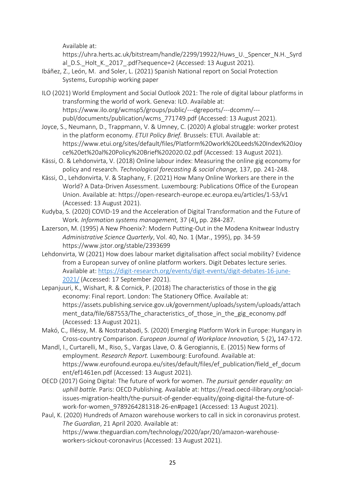Available at:

[https://uhra.herts.ac.uk/bitstream/handle/2299/19922/Huws\\_U.\\_Spencer\\_N.H.\\_Syrd](https://uhra.herts.ac.uk/bitstream/handle/2299/19922/Huws_U._Spencer_N.H._Syrdal_D.S._Holt_K._2017_.pdf?sequence=2) al D.S. Holt K. 2017 .pdf?sequence=2 (Accessed: 13 August 2021).

- Ibáñez, Z., León, M. and Soler, L. (2021) Spanish National report on Social Protection Systems, Europship working paper
- ILO (2021) World Employment and Social Outlook 2021: The role of digital labour platforms in transforming the world of work. Geneva: ILO. Available at: [https://www.ilo.org/wcmsp5/groups/public/---dgreports/---dcomm/--](https://www.ilo.org/wcmsp5/groups/public/---dgreports/---dcomm/---publ/documents/publication/wcms_771749.pdf) [publ/documents/publication/wcms\\_771749.pdf](https://www.ilo.org/wcmsp5/groups/public/---dgreports/---dcomm/---publ/documents/publication/wcms_771749.pdf) (Accessed: 13 August 2021).
- Joyce, S., Neumann, D., Trappmann, V. & Umney, C. (2020) A global struggle: worker protest in the platform economy. *ETUI Policy Brief.* Brussels: ETUI. Available at: https://www.etui.org/sites/default/files/Platform%20work%20Leeds%20Index%20Joy ce%20et%20al%20Policy%20Brief%202020.02.pdf (Accessed: 13 August 2021).
- Kässi, O. & Lehdonvirta, V. (2018) Online labour index: Measuring the online gig economy for policy and research. *Technological forecasting & social change,* 137, pp. 241-248.
- Kässi, O., Lehdonvirta, V. & Staphany, F. (2021) How Many Online Workers are there in the World? A Data-Driven Assessment. Luxembourg: Publications Office of the European Union. Available at: https://open-research-europe.ec.europa.eu/articles/1-53/v1 (Accessed: 13 August 2021).
- Kudyba, S. (2020) COVID-19 and the Acceleration of Digital Transformation and the Future of Work. *Information systems management,* 37 (4), pp. 284-287.
- Lazerson, M. (1995) A New Phoenix?: Modern Putting-Out in the Modena Knitwear Industry *Administrative Science Quarterly*, Vol. 40, No. 1 (Mar., 1995), pp. 34-59 https://www.jstor.org/stable/2393699
- Lehdonvirta, W (2021) How does labour market digitalisation affect social mobility? Evidence from a European survey of online platform workers. Digit Debates lecture series. Available at: [https://digit-research.org/events/digit-events/digit-debates-16-june-](https://digit-research.org/events/digit-events/digit-debates-16-june-2021/)[2021/](https://digit-research.org/events/digit-events/digit-debates-16-june-2021/) (Accessed: 17 September 2021).
- Lepanjuuri, K., Wishart, R. & Cornick, P. (2018) The characteristics of those in the gig economy: Final report. London: The Stationery Office. Available at: https://assets.publishing.service.gov.uk/government/uploads/system/uploads/attach ment data/file/687553/The characteristics of those in the gig economy.pdf (Accessed: 13 August 2021).
- Makó, C., Illéssy, M. & Nostratabadi, S. (2020) Emerging Platform Work in Europe: Hungary in Cross-country Comparison. *European Journal of Workplace Innovation,* 5 (2), 147-172.
- Mandl, I., Curtarelli, M., Riso, S., Vargas Llave, O. & Gerogiannis, E. (2015) New forms of employment. *Research Report.* Luxembourg: Eurofound. Available at: [https://www.eurofound.europa.eu/sites/default/files/ef\\_publication/field\\_ef\\_docum](https://www.eurofound.europa.eu/sites/default/files/ef_publication/field_ef_document/ef1461en.pdf) [ent/ef1461en.pdf](https://www.eurofound.europa.eu/sites/default/files/ef_publication/field_ef_document/ef1461en.pdf) (Accessed: 13 August 2021).
- OECD (2017) Going Digital: The future of work for women. *The pursuit gender equality: an uphill battle.* Paris: OECD Publishing. Available at: [https://read.oecd-ilibrary.org/social](https://read.oecd-ilibrary.org/social-issues-migration-health/the-pursuit-of-gender-equality/going-digital-the-future-of-work-for-women_9789264281318-26-en#page1)[issues-migration-health/the-pursuit-of-gender-equality/going-digital-the-future-of](https://read.oecd-ilibrary.org/social-issues-migration-health/the-pursuit-of-gender-equality/going-digital-the-future-of-work-for-women_9789264281318-26-en#page1)[work-for-women\\_9789264281318-26-en#page1](https://read.oecd-ilibrary.org/social-issues-migration-health/the-pursuit-of-gender-equality/going-digital-the-future-of-work-for-women_9789264281318-26-en#page1) (Accessed: 13 August 2021).
- Paul, K. (2020) Hundreds of Amazon warehouse workers to call in sick in coronavirus protest. *The Guardian*, 21 April 2020. Available at: [https://www.theguardian.com/technology/2020/apr/20/amazon-warehouse](https://www.theguardian.com/technology/2020/apr/20/amazon-warehouse-workers-sickout-coronavirus)[workers-sickout-coronavirus](https://www.theguardian.com/technology/2020/apr/20/amazon-warehouse-workers-sickout-coronavirus) (Accessed: 13 August 2021).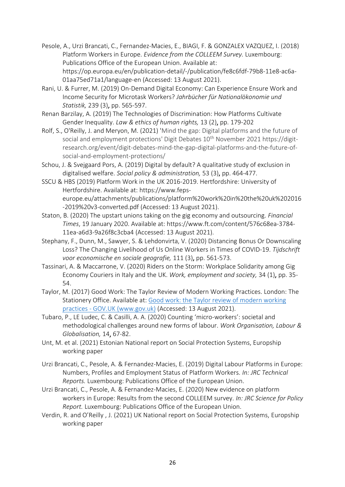- Pesole, A., Urzi Brancati, C., Fernandez-Macies, E., BIAGI, F. & GONZALEX VAZQUEZ, I. (2018) Platform Workers in Europe. *Evidence from the COLLEEM Survey.* Luxembourg: Publications Office of the European Union. Available at: [https://op.europa.eu/en/publication-detail/-/publication/fe8c6fdf-79b8-11e8-ac6a-](https://op.europa.eu/en/publication-detail/-/publication/fe8c6fdf-79b8-11e8-ac6a-01aa75ed71a1/language-en)[01aa75ed71a1/language-en](https://op.europa.eu/en/publication-detail/-/publication/fe8c6fdf-79b8-11e8-ac6a-01aa75ed71a1/language-en) (Accessed: 13 August 2021).
- Rani, U. & Furrer, M. (2019) On-Demand Digital Economy: Can Experience Ensure Work and Income Security for Microtask Workers? *Jahrbücher für Nationalökonomie und Statistik,* 239 (3), pp. 565-597.
- Renan Barzilay, A. (2019) The Technologies of Discrimination: How Platforms Cultivate Gender Inequality. *Law & ethics of human rights,* 13 (2), pp. 179-202
- Rolf, S., O'Reilly, J. and Meryon, M. (2021) 'Mind the gap: Digital platforms and the future of social and employment protections' Digit Debates 10<sup>th</sup> November 2021 https://digitresearch.org/event/digit-debates-mind-the-gap-digital-platforms-and-the-future-ofsocial-and-employment-protections/
- Schou, J. & Svejgaard Pors, A. (2019) Digital by default? A qualitative study of exclusion in digitalised welfare. *Social policy & administration,* 53 (3), pp. 464-477.
- SSCU & HBS (2019) Platform Work in the UK 2016-2019. Hertfordshire: University of Hertfordshire. Available at: [https://www.feps](https://www.feps-europe.eu/attachments/publications/platform%20work%20in%20the%20uk%202016-2019%20v3-converted.pdf)[europe.eu/attachments/publications/platform%20work%20in%20the%20uk%202016](https://www.feps-europe.eu/attachments/publications/platform%20work%20in%20the%20uk%202016-2019%20v3-converted.pdf) [-2019%20v3-converted.pdf](https://www.feps-europe.eu/attachments/publications/platform%20work%20in%20the%20uk%202016-2019%20v3-converted.pdf) (Accessed: 13 August 2021).
- Staton, B. (2020) The upstart unions taking on the gig economy and outsourcing. *Financial Times*, 19 January 2020. Available at: [https://www.ft.com/content/576c68ea-3784-](https://www.ft.com/content/576c68ea-3784-11ea-a6d3-9a26f8c3cba4) [11ea-a6d3-9a26f8c3cba4](https://www.ft.com/content/576c68ea-3784-11ea-a6d3-9a26f8c3cba4) (Accessed: 13 August 2021).
- Stephany, F., Dunn, M., Sawyer, S. & Lehdonvirta, V. (2020) Distancing Bonus Or Downscaling Loss? The Changing Livelihood of Us Online Workers in Times of COVID‐19. *Tijdschrift voor economische en sociale geografie,* 111 (3), pp. 561-573.
- Tassinari, A. & Maccarrone, V. (2020) Riders on the Storm: Workplace Solidarity among Gig Economy Couriers in Italy and the UK. *Work, employment and society,* 34 (1), pp. 35- 54.
- Taylor, M. (2017) Good Work: The Taylor Review of Modern Working Practices. London: The Stationery Office. Available at: [Good work: the Taylor review of modern working](https://www.gov.uk/government/publications/good-work-the-taylor-review-of-modern-working-practices)  practices - [GOV.UK \(www.gov.uk\)](https://www.gov.uk/government/publications/good-work-the-taylor-review-of-modern-working-practices) (Accessed: 13 August 2021).
- Tubaro, P., LE Ludec, C. & Casilli, A. A. (2020) Counting 'micro-workers': societal and methodological challenges around new forms of labour. *Work Organisation, Labour & Globalisation,* 14, 67-82.
- Unt, M. et al. (2021) Estonian National report on Social Protection Systems, Europship working paper
- Urzi Brancati, C., Pesole, A. & Fernandez-Macies, E. (2019) Digital Labour Platforms in Europe: Numbers, Profiles and Employment Status of Platform Workers. *In: JRC Technical Reports.* Luxembourg: Publications Office of the European Union.
- Urzi Brancati, C., Pesole, A. & Fernandez-Macies, E. (2020) New evidence on platform workers in Europe: Results from the second COLLEEM survey. *In: JRC Science for Policy Report.* Luxembourg: Publications Office of the European Union.
- Verdin, R. and O'Reilly , J. (2021) UK National report on Social Protection Systems, Europship working paper